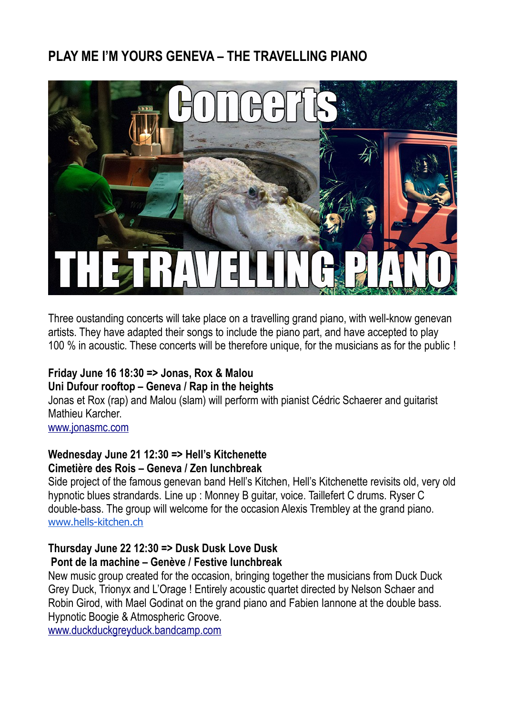## **PLAY ME I'M YOURS GENEVA – THE TRAVELLING PIANO**



Three oustanding concerts will take place on a travelling grand piano, with well-know genevan artists. They have adapted their songs to include the piano part, and have accepted to play 100 % in acoustic. These concerts will be therefore unique, for the musicians as for the public !

### **Friday June 16 18:30 => Jonas, Rox & Malou Uni Dufour rooftop – Geneva / Rap in the heights**

Jonas et Rox (rap) and Malou (slam) will perform with pianist Cédric Schaerer and guitarist Mathieu Karcher.

[www.jonasmc.com](http://www.jonasmc.com/)

#### **Wednesday June 21 12:30 => Hell's Kitchenette Cimetière des Rois – Geneva / Zen lunchbreak**

Side project of the famous genevan band Hell's Kitchen, Hell's Kitchenette revisits old, very old hypnotic blues strandards. Line up : Monney B guitar, voice. Taillefert C drums. Ryser C double-bass. The group will welcome for the occasion Alexis Trembley at the grand piano. [www.hells-kitchen.ch](http://www.hells-kitchen.ch/)

# **Thursday June 22 12:30 => Dusk Dusk Love Dusk**

### **Pont de la machine – Genève / Festive lunchbreak**

New music group created for the occasion, bringing together the musicians from Duck Duck Grey Duck, Trionyx and L'Orage ! Entirely acoustic quartet directed by Nelson Schaer and Robin Girod, with Mael Godinat on the grand piano and Fabien Iannone at the double bass. Hypnotic Boogie & Atmospheric Groove.

[www.duckduckgreyduck.bandcamp.com](http://www.duckduckgreyduck.bandcamp.com/)